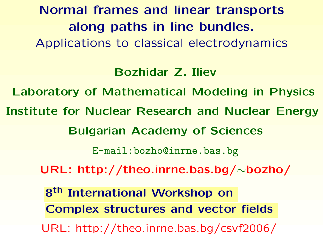**Normal frames and linear transports along paths in line bundles.** Applications to classical electrodynamics

**Bozhidar Z. Iliev**

**Laboratory of Mathematical Modeling in Physics Institute for Nuclear Research and Nuclear Energy**

**Bulgarian Academy of Sciences**

[E-mail:bozho@inrne.bas.bg](E-mail: bozho@inrne.bas.bg)

**URL: [http://theo.inrne.bas.bg/](http://theo.inrne.bas.bg/~bozho/)**∼**bozho/**

**8th International Workshop on Complex structures and vector fields** URL: <http://theo.inrne.bas.bg/csvf2006/>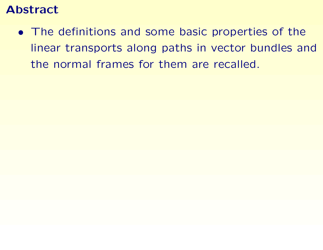## **Abstract**

• The definitions and some basic properties of the linear transports along paths in vector bundles and the normal frames for them are recalled.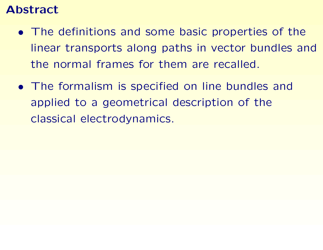## **Abstract**

- The definitions and some basic properties of the linear transports along paths in vector bundles and the normal frames for them are recalled.
- The formalism is specified on line bundles and applied to <sup>a</sup> geometrical description of the classical electrodynamics.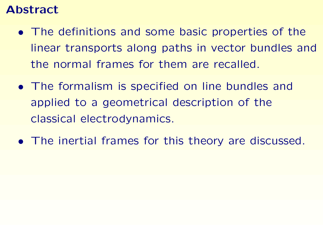## **Abstract**

- The definitions and some basic properties of the linear transports along paths in vector bundles and the normal frames for them are recalled.
- The formalism is specified on line bundles and applied to <sup>a</sup> geometrical description of the classical electrodynamics.
- The inertial frames for this theory are discussed.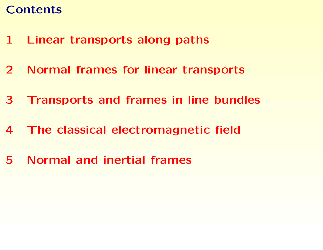# **Contents**

- **1 Linear [transports](#page-5-0) along paths**
- **2 Normal frames for linear [transports](#page-14-0)**
- **3 [Transports](#page-26-0) and frames in line bundles**
- **4 The classical [electromagnetic](#page-34-0) field**
- **5 [Normal](#page-44-0) and inertial frames**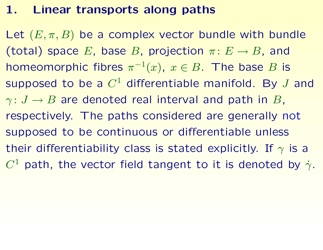#### **1. Linear transports along paths**

<span id="page-5-0"></span>Let  $(E, \pi, B)$  be a complex vector bundle with bundle (total) space *E*, base *B*, projection  $\pi: E \to B$ , and homeomorphic fibres  $\pi^{-1}(x)$ ,  $x \in B$ . The base *B* is supposed to be <sup>a</sup> *C*<sup>1</sup> differentiable manifold. By *J* and  $\gamma: J \to B$  are denoted real interval and path in *B*, respectively. The paths considered are generally not supposed to be continuous or differentiable unless their differentiability class is stated explicitly. If *γ* is <sup>a</sup> *C*<sup>1</sup> path, the vector field tangent to it is denoted by  $\dot{\gamma}$ .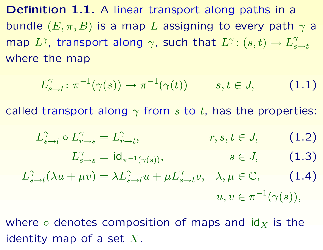**Definition 1.1.** A linear transport along paths in <sup>a</sup> bundle  $(E, \pi, B)$  is a map *L* assigning to every path  $\gamma$  a map  $L^{\gamma}$ , transport along  $\gamma$ , such that  $L^{\gamma}$ :  $(s,t) \mapsto L^{\gamma}_{s \to t}$ where the map

$$
L_{s\to t}^{\gamma} \colon \pi^{-1}(\gamma(s)) \to \pi^{-1}(\gamma(t)) \qquad s, t \in J, \qquad (1.1)
$$

called transport along *γ* from *<sup>s</sup>* to *<sup>t</sup>*, has the properties:

$$
L_{s\to t}^{\gamma} \circ L_{r\to s}^{\gamma} = L_{r\to t}^{\gamma}, \qquad r, s, t \in J, \qquad (1.2)
$$
  

$$
L_{s\to s}^{\gamma} = \mathrm{id}_{\pi^{-1}(\gamma(s))}, \qquad s \in J, \qquad (1.3)
$$
  

$$
L_{s\to t}^{\gamma}(\lambda u + \mu v) = \lambda L_{s\to t}^{\gamma} u + \mu L_{s\to t}^{\gamma} v, \quad \lambda, \mu \in \mathbb{C}, \qquad (1.4)
$$
  

$$
u, v \in \pi^{-1}(\gamma(s)),
$$

where  $\circ$  denotes composition of maps and  $\mathsf{id}_X$  is the identity map of <sup>a</sup> set *X*.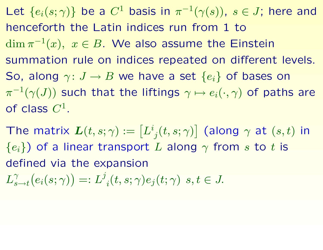Let  ${e_i(s; \gamma)}$  be a  $C^1$  basis in  $\pi^{-1}(\gamma(s))$ ,  $s \in J$ ; here and henceforth the Latin indices run from 1 to  $\dim \pi^{-1}(x)$ ,  $x \in B$ . We also assume the Einstein summation rule on indices repeated on different levels. So, along  $\gamma: J \to B$  we have a set  $\{e_i\}$  of bases on  $\pi^{-1}(\gamma(J))$  such that the liftings  $\gamma \mapsto e_i(\cdot,\gamma)$  of paths are of class *C*<sup>1</sup>.

 $\bm{\mathsf{T}}$ he matrix  $\bm{L}(t,s;\gamma):=\left[L^{i}_{\;j}(t,s;\gamma)\right]$  (along  $\gamma$  at  $(s,t)$  in  ${e_i}$ ) of a linear transport *L* along  $\gamma$  from *s* to *t* is defined via the expansion

 $L_{s \to t}^{\gamma}(e_i(s;\gamma)) =: L_{i}^{\gamma}(t,s;\gamma)e_i(t;\gamma) \ s, t \in J.$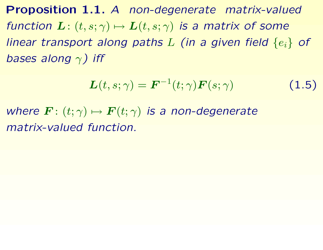**Proposition 1.1.** *A non-degenerate matrix-valued function*  $\mathbf{L}:$   $(t, s; \gamma) \mapsto \mathbf{L}(t, s; \gamma)$  *is a matrix of some linear transport along paths <sup>L</sup> (in <sup>a</sup> given field* {*ei*} *of bases along <sup>γ</sup>) iff*

<span id="page-8-0"></span>
$$
\boldsymbol{L}(t,s;\gamma) = \boldsymbol{F}^{-1}(t;\gamma)\boldsymbol{F}(s;\gamma) \tag{1.5}
$$

<span id="page-8-1"></span>*where*  $\mathbf{F}: (t; \gamma) \mapsto \mathbf{F}(t; \gamma)$  *is a non-degenerate matrix-valued function.*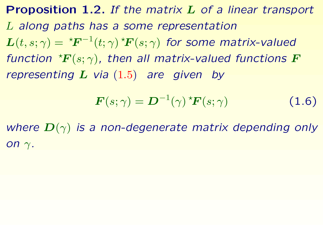**Proposition 1.2.** *If the matrix L of <sup>a</sup> linear transport L along paths has <sup>a</sup> some representation*  $L(t, s; \gamma) = {}^{\star}F^{-1}(t; \gamma) {}^{\star}F(s; \gamma)$  for some matrix-valued *function*  ${}^{\star}F(s;\gamma)$ , *then all matrix-valued functions F representing <sup>L</sup> via* ([1.5](#page-8-0)) *are given by*

$$
\boldsymbol{F}(s;\gamma) = \boldsymbol{D}^{-1}(\gamma) \, {}^{\star}\boldsymbol{F}(s;\gamma) \tag{1.6}
$$

<span id="page-9-0"></span>*where <sup>D</sup>*(*γ*) *is <sup>a</sup> non-degenerate matrix depending only on γ.*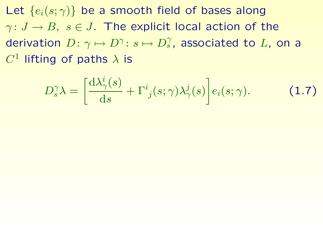Let  ${e_i(s; \gamma)}$  be a smooth field of bases along  $\gamma: J \to B$ ,  $s \in J$ . The explicit local action of the derivation  $D: \gamma \mapsto D^{\gamma}: s \mapsto D_s^{\gamma}$ , associated to L, on a  $C<sup>1</sup>$  lifting of paths  $\lambda$  is

$$
D_s^{\gamma} \lambda = \left[ \frac{\mathrm{d}\lambda_{\gamma}^i(s)}{\mathrm{d}s} + \Gamma_{j}^i(s;\gamma) \lambda_{\gamma}^j(s) \right] e_i(s;\gamma). \tag{1.7}
$$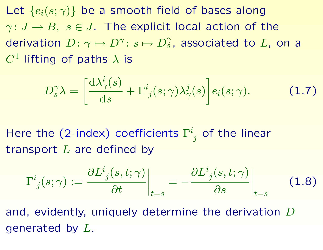Let  ${e_i(s; \gamma)}$  be a smooth field of bases along  $\gamma: J \to B$ ,  $s \in J$ . The explicit local action of the derivation  $D: \gamma \mapsto D^{\gamma}: s \mapsto D_s^{\gamma}$ , associated to *L*, on a  $C<sup>1</sup>$  lifting of paths  $\lambda$  is

$$
D_s^{\gamma} \lambda = \left[ \frac{\mathrm{d}\lambda_{\gamma}^i(s)}{\mathrm{d}s} + \Gamma^i_{\ j}(s;\gamma) \lambda_{\gamma}^j(s) \right] e_i(s;\gamma). \tag{1.7}
$$

Here the (2-index) coefficients  $\Gamma^i$ <sub>i</sub> of the linear transport *L* are defined by

<span id="page-11-0"></span>
$$
\Gamma^{i}_{j}(s;\gamma) := \frac{\partial L^{i}_{j}(s,t;\gamma)}{\partial t}\bigg|_{t=s} = -\frac{\partial L^{i}_{j}(s,t;\gamma)}{\partial s}\bigg|_{t=s}
$$
(1.8)

and, evidently, uniquely determine the derivation *D* generated by *L*.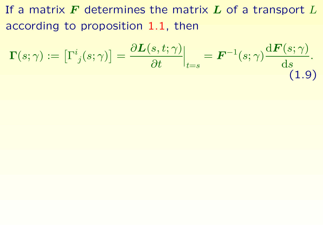If <sup>a</sup> matrix *F* determines the matrix *L* of <sup>a</sup> transport *L* according to proposition [1.1](#page-8-1), then

$$
\Gamma(s; \gamma) := \left[\Gamma^i_{\ j}(s; \gamma)\right] = \frac{\partial L(s, t; \gamma)}{\partial t}\Big|_{t=s} = \boldsymbol{F}^{-1}(s; \gamma) \frac{\mathrm{d}\boldsymbol{F}(s; \gamma)}{\mathrm{d}s}.
$$
\n(1.9)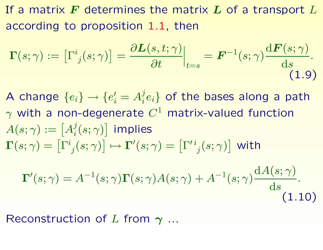If <sup>a</sup> matrix *F* determines the matrix *L* of <sup>a</sup> transport *L* according to proposition [1.1](#page-8-1), then

<span id="page-13-0"></span>
$$
\Gamma(s;\gamma) := \left[\Gamma^i_{\ j}(s;\gamma)\right] = \frac{\partial L(s,t;\gamma)}{\partial t}\Big|_{t=s} = \boldsymbol{F}^{-1}(s;\gamma)\frac{\mathrm{d}\boldsymbol{F}(s;\gamma)}{\mathrm{d}s}.
$$
\n(1.9)

<span id="page-13-1"></span>A change  ${e_i} \rightarrow {e'_i} = A_i^j e_i$  of the bases along a path *<sup>γ</sup>* with <sup>a</sup> non-degenerate *<sup>C</sup>*<sup>1</sup> matrix-valued function  $A(s;\gamma):=\left[A_i^j(s;\gamma)\right]$  implies  $\bm{\Gamma}(s;\gamma) = \left[\Gamma^i_{\phantom{i}j}(s;\gamma)\right] \mapsto \bm{\Gamma}'(s;\gamma) = \left[\Gamma'^{\,i}_{\phantom{i}j}(s;\gamma)\right]$  with

$$
\Gamma'(s; \gamma) = A^{-1}(s; \gamma) \Gamma(s; \gamma) A(s; \gamma) + A^{-1}(s; \gamma) \frac{dA(s; \gamma)}{ds}.
$$
\n(1.10)

Reconstruction of *L* from *γ* ...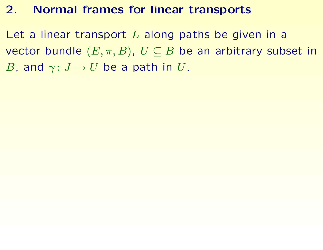#### **2. Normal frames for linear transports**

<span id="page-14-0"></span>Let <sup>a</sup> linear transport *L* along paths be given in <sup>a</sup> vector bundle  $(E, \pi, B)$ ,  $U \subseteq B$  be an arbitrary subset in *B*, and  $\gamma: J \to U$  be a path in *U*.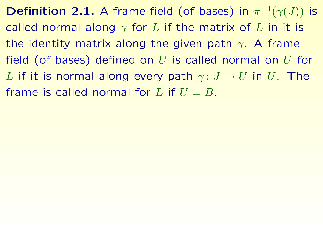**Definition 2.1.** A frame field (of bases) in  $\pi^{-1}(\gamma(J))$  is called normal along *γ* for *L* if the matrix of *L* in it is the identity matrix along the given path *γ*. A frame field (of bases) defined on *U* is called normal on *U* for *L* if it is normal along every path  $\gamma: J \to U$  in *U*. The frame is called normal for L if  $U = B$ .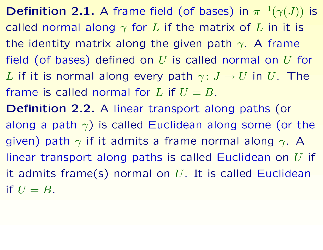**Definition 2.1.** A frame field (of bases) in  $\pi^{-1}(\gamma(J))$  is called normal along *γ* for *L* if the matrix of *L* in it is the identity matrix along the given path *γ*. A frame field (of bases) defined on *U* is called normal on *U* for *L* if it is normal along every path  $\gamma: J \to U$  in *U*. The frame is called normal for L if  $U = B$ . **Definition 2.2.** A linear transport along paths (or along a path  $\gamma$ ) is called Euclidean along some (or the given) path *<sup>γ</sup>* if it admits <sup>a</sup> frame normal along *<sup>γ</sup>*. A linear transport along paths is called Euclidean on *U* if

it admits frame(s) normal on *U*. It is called Euclidean if  $U = B$ .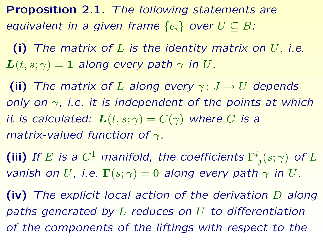**Proposition 2.1.** *The following statements are equivalent in a given frame*  $\{e_i\}$  *over*  $U \subseteq B$ *:* 

**(i)** *The matrix of L is the identity matrix on U, i.e.*  $L(t, s; \gamma) = 1$  *along* every path  $\gamma$  *in U*.

**(ii)** The matrix of L along every  $\gamma: J \rightarrow U$  depends *only on γ, i.e. it is independent of the points at which it is calculated:*  $L(t, s; \gamma) = C(\gamma)$  *where C is a matrix-valued function of γ.*

**(iii)** If E is a  $C^1$  manifold, the coefficients  $\Gamma^i_j(s; \gamma)$  of L *vanish on U*, *i.e.*  $\Gamma(s; \gamma) = 0$  *along every path*  $\gamma$  *in U.* 

**(iv)** *The explicit local action of the derivation D along paths generated by L reduces on U to differentiation of the components of the liftings with respect to the*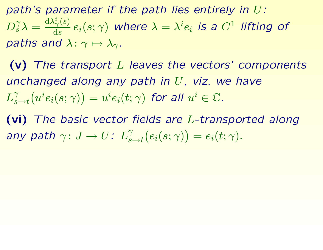*path's parameter if the path lies entirely in U:*  $D_s^{\gamma} \lambda = \frac{d\lambda_{\gamma}^i(s)}{ds} e_i(s;\gamma)$  where  $\lambda = \lambda^i e_i$  is a  $C^1$  lifting of *paths and*  $\lambda$ :  $\gamma \mapsto \lambda_{\gamma}$ *.* 

**(v)** *The transport L leaves the vectors' components unchanged along any path in U, viz. we have*  $L_{s\rightarrow t}^{\gamma}(u^{i}e_{i}(s;\gamma))=u^{i}e_{i}(t;\gamma)$  for all  $u^{i}\in\mathbb{C}$ .

**(vi)** *The basic vector fields are L-transported along any path*  $\gamma: J \to U$ :  $L_{s \to t}^{\gamma}(e_i(s; \gamma)) = e_i(t; \gamma)$ .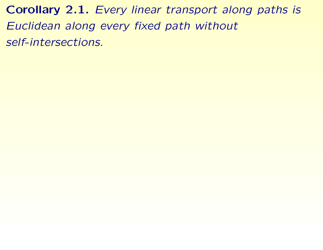**Corollary 2.1.** *Every linear transport along paths is Euclidean along every fixed path without self-intersections.*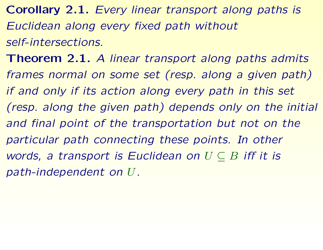**Corollary 2.1.** *Every linear transport along paths is Euclidean along every fixed path without self-intersections.*

<span id="page-20-1"></span><span id="page-20-0"></span>**Theorem 2.1.** *A linear transport along paths admits frames normal on some set (resp. along <sup>a</sup> given path) if and only if its action along every path in this set (resp. along the given path) depends only on the initial and final point of the transportation but not on the particular path connecting these points. In other words, <sup>a</sup> transport is Euclidean on U* ⊆ *B iff it is path-independent on U.*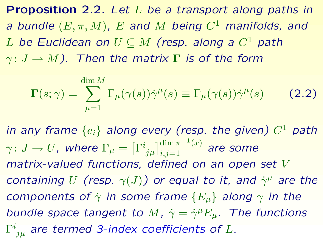**Proposition 2.2.** *Let L be <sup>a</sup> transport along paths in <sup>a</sup> bundle* (*E, π, <sup>M</sup>*)*, <sup>E</sup> and <sup>M</sup> being <sup>C</sup>*<sup>1</sup> *manifolds, and <sup>L</sup> be Euclidean on <sup>U</sup>* ⊆ *<sup>M</sup> (resp. along <sup>a</sup> <sup>C</sup>*<sup>1</sup> *path <sup>γ</sup>* : *J* <sup>→</sup> *<sup>M</sup>). Then the matrix* **<sup>Γ</sup>** *is of the form*

<span id="page-21-0"></span>
$$
\Gamma(s;\gamma) = \sum_{\mu=1}^{\dim M} \Gamma_{\mu}(\gamma(s)) \dot{\gamma}^{\mu}(s) \equiv \Gamma_{\mu}(\gamma(s)) \dot{\gamma}^{\mu}(s) \qquad (2.2)
$$

<span id="page-21-1"></span>*in any frame* {*ei*} *along every (resp. the given) <sup>C</sup>*<sup>1</sup> *path*  $\gamma\colon J\to U$ , where  $\Gamma_\mu=\left[\Gamma^i_{\,\,j\mu}\right]_{i,j=1}^{\dim\pi^{-1}(x)}$  are some *matrix-valued functions, defined on an open set V containing U* (resp.  $\gamma(J)$ ) or equal to it, and  $\dot{\gamma}^{\mu}$  are the *components of*  $\dot{\gamma}$  *in some frame*  ${E_{\mu}}$  *along*  $\gamma$  *in the bundle space tangent to M*,  $\dot{\gamma} = \dot{\gamma}^{\mu} E_{\mu}$ . The functions <sup>Γ</sup>*ijµ are termed 3-index coefficients of <sup>L</sup>.*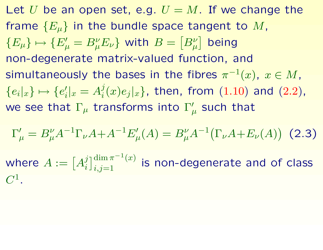Let *U* be an open set, e.g.  $U = M$ . If we change the frame {*Eµ*} in the bundle space tangent to *<sup>M</sup>*,  $\{E_{\mu}\} \mapsto \{E'_{\mu}=B_{\mu}^{\nu}E_{\nu}\}$  with  $B=\left[B_{\mu}^{\nu}\right]$  being non-degenerate matrix-valued function, and simultaneously the bases in the fibres  $\pi^{-1}(x)$ ,  $x \in M$ ,  ${e_i|x} \mapsto {e'_i|x = A_i^j(x)e_i|x}$ , then, from ([1.10](#page-13-0)) and ([2.2](#page-21-0)), we see that  $\Gamma_{\mu}$  transforms into  $\Gamma_{\mu}'$  such that

$$
\Gamma'_{\mu} = B_{\mu}^{\nu} A^{-1} \Gamma_{\nu} A + A^{-1} E'_{\mu}(A) = B_{\mu}^{\nu} A^{-1} (\Gamma_{\nu} A + E_{\nu}(A))
$$
 (2.3)  
where  $A := [A_i^j]_{i,j=1}^{\dim \pi^{-1}(x)}$  is non-degenerate and of class  $C^1$ .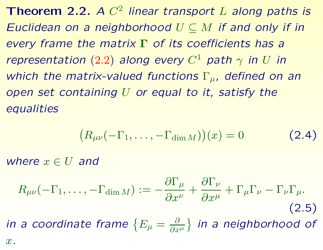**Theorem 2.2.** *<sup>A</sup> C*<sup>2</sup> *linear transport <sup>L</sup> along paths is Euclidean on <sup>a</sup> neighborhood U* ⊆ *M if and only if in every frame the matrix* **Γ** *of its coefficients has <sup>a</sup> representation* ([2.2](#page-21-0)) *along every*  $C^1$  *path*  $\gamma$  *in U in which the matrix-valued functions* <sup>Γ</sup>*µ, defined on an open set containing U or equal to it, satisfy the equalities*

<span id="page-23-1"></span>
$$
(R_{\mu\nu}(-\Gamma_1,\ldots,-\Gamma_{\dim M}))(x) = 0 \qquad (2.4)
$$

*where*  $x \in U$  *and* 

<span id="page-23-0"></span>
$$
R_{\mu\nu}(-\Gamma_1,\ldots,-\Gamma_{\dim M}) := -\frac{\partial \Gamma_{\mu}}{\partial x^{\nu}} + \frac{\partial \Gamma_{\nu}}{\partial x^{\mu}} + \Gamma_{\mu}\Gamma_{\nu} - \Gamma_{\nu}\Gamma_{\mu}.
$$
\n(2.5)

\nin a coordinate frame  $\{E_{\mu} = \frac{\partial}{\partial x^{\mu}}\}$  in a neighborhood of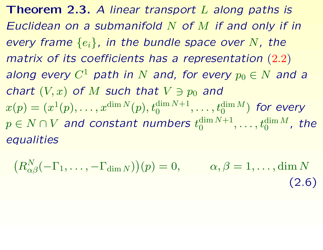**Theorem 2.3.** *A linear transport L along paths is Euclidean on <sup>a</sup> submanifold N of M if and only if in every frame* {*ei*}*, in the bundle space over <sup>N</sup>, the matrix of its coefficients has <sup>a</sup> representation* ([2.2](#page-21-0)) *along every*  $C^1$  *path in*  $N$  *and, for every*  $p_0 \in N$  *and a chart*  $(V, x)$  *of M such that*  $V \ni p_0$  *and*  $x(p) = (x^1(p), \ldots, x^{\dim N}(p), t_0^{\dim N+1}, \ldots, t_0^{\dim M})$  for every  $p \in N \cap V$  *and constant numbers*  $t_0^{\dim N+1}, \ldots, t_0^{\dim M}$ , the *equalities*

<span id="page-24-1"></span><span id="page-24-0"></span>
$$
(R_{\alpha\beta}^N(-\Gamma_1,\ldots,-\Gamma_{\dim N}))(p) = 0, \qquad \alpha,\beta = 1,\ldots,\dim N
$$
\n(2.6)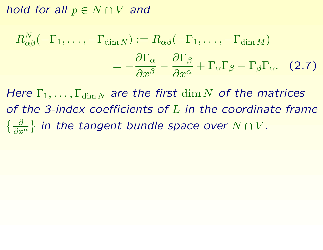*hold for all*  $p \in N \cap V$  *and* 

$$
R_{\alpha\beta}^N(-\Gamma_1,\ldots,-\Gamma_{\dim N}) := R_{\alpha\beta}(-\Gamma_1,\ldots,-\Gamma_{\dim M})
$$

$$
= -\frac{\partial \Gamma_\alpha}{\partial x^\beta} - \frac{\partial \Gamma_\beta}{\partial x^\alpha} + \Gamma_\alpha \Gamma_\beta - \Gamma_\beta \Gamma_\alpha. \quad (2.7)
$$

*Here*  $\Gamma_1, \ldots, \Gamma_{\dim N}$  *are the first dim N of the matrices of the 3-index coefficients of L in the coordinate frame*  $\{ \frac{\partial}{\partial x^{\mu}} \}$  *in the tangent bundle space over*  $N \cap V$ .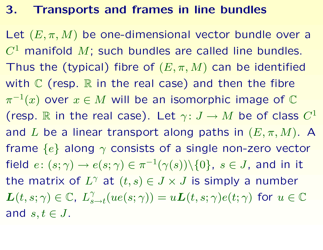#### **3. Transports and frames in line bundles**

<span id="page-26-0"></span>Let  $(E, \pi, M)$  be one-dimensional vector bundle over a *C*<sup>1</sup> manifold *<sup>M</sup>*; such bundles are called line bundles. Thus the (typical) fibre of  $(E, \pi, M)$  can be identified with  $\mathbb C$  (resp.  $\mathbb R$  in the real case) and then the fibre  $\pi^{-1}(x)$  over  $x \in M$  will be an isomorphic image of  $\mathbb C$ (resp. R in the real case). Let  $\gamma: J \to M$  be of class  $C^1$ and *L* be a linear transport along paths in  $(E, \pi, M)$ . A frame {*e*} along *<sup>γ</sup>* consists of <sup>a</sup> single non-zero vector field  $e: (s; \gamma) \to e(s; \gamma) \in \pi^{-1}(\gamma(s)) \setminus \{0\}, s \in J$ , and in it the matrix of  $L^{\gamma}$  at  $(t, s) \in J \times J$  is simply a number  $L(t, s; \gamma) \in \mathbb{C}, L^{\gamma}_{s \to t}(ue(s; \gamma)) = uL(t, s; \gamma)e(t; \gamma)$  for  $u \in \mathbb{C}$ and *s,t* ∈ *J*.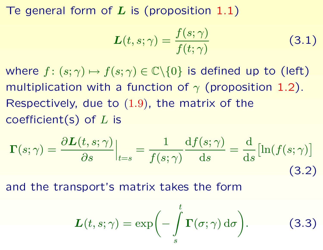Te general form of *L* is (proposition [1.1](#page-8-1))

<span id="page-27-0"></span>
$$
L(t, s; \gamma) = \frac{f(s; \gamma)}{f(t; \gamma)}
$$
(3.1)

where  $f: (s; \gamma) \mapsto f(s; \gamma) \in \mathbb{C} \backslash \{0\}$  is defined up to (left) multiplication with <sup>a</sup> function of *<sup>γ</sup>* (proposition [1.2](#page-9-0)). Respectively, due to  $(1.9)$  $(1.9)$  $(1.9)$ , the matrix of the coefficient(s) of *L* is

$$
\Gamma(s; \gamma) = \frac{\partial L(t, s; \gamma)}{\partial s} \Big|_{t=s} = \frac{1}{f(s; \gamma)} \frac{\mathrm{d}f(s; \gamma)}{\mathrm{d}s} = \frac{\mathrm{d}}{\mathrm{d}s} \big[ \ln(f(s; \gamma)) \big]
$$
(3.2)

and the transport's matrix takes the form

$$
L(t,s;\gamma) = \exp\biggl(-\int\limits_s^t \Gamma(\sigma;\gamma) d\sigma\biggr).
$$
 (3.3)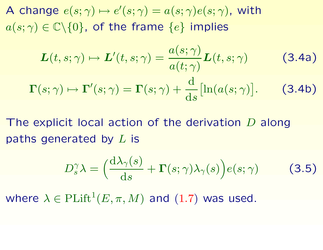A change  $e(s; \gamma) \mapsto e'(s; \gamma) = a(s; \gamma)e(s; \gamma)$ , with  $a(s; \gamma) \in \mathbb{C} \backslash \{0\}$ , of the frame  $\{e\}$  implies

$$
\mathbf{L}(t,s;\gamma) \mapsto \mathbf{L}'(t,s;\gamma) = \frac{a(s;\gamma)}{a(t;\gamma)} \mathbf{L}(t,s;\gamma)
$$
(3.4a)  

$$
\mathbf{\Gamma}(s;\gamma) \mapsto \mathbf{\Gamma}'(s;\gamma) = \mathbf{\Gamma}(s;\gamma) + \frac{d}{ds} [\ln(a(s;\gamma)].
$$
(3.4b)

The explicit local action of the derivation *D* along paths generated by *L* is

$$
D_s^{\gamma} \lambda = \left(\frac{d\lambda_{\gamma}(s)}{ds} + \Gamma(s;\gamma)\lambda_{\gamma}(s)\right) e(s;\gamma)
$$
 (3.5)

where  $\lambda \in \mathrm{Plift}^1(E, \pi, M)$  and ([1.7](#page-11-0)) was used.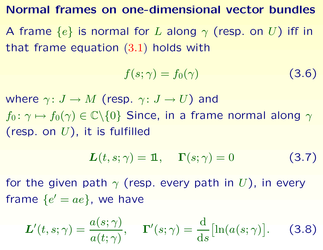#### **Normal frames on one-dimensional vector bundles**

<sup>A</sup> frame {*e*} is normal for *<sup>L</sup>* along *<sup>γ</sup>* (resp. on *<sup>U</sup>*) iff in that frame equation ([3.1](#page-27-0)) holds with

<span id="page-29-0"></span>
$$
f(s; \gamma) = f_0(\gamma) \tag{3.6}
$$

where  $\gamma: J \to M$  (resp.  $\gamma: J \to U$ ) and  $f_0: \gamma \mapsto f_0(\gamma) \in \mathbb{C} \backslash \{0\}$  Since, in a frame normal along  $\gamma$ (resp. on *U*), it is fulfilled

$$
L(t, s; \gamma) = 1\!\!\!1, \quad \Gamma(s; \gamma) = 0 \tag{3.7}
$$

for the given path  $\gamma$  (resp. every path in *U*), in every frame  $\{e' = ae\}$ , we have

$$
\mathbf{L}'(t,s;\gamma) = \frac{a(s;\gamma)}{a(t;\gamma)}, \quad \mathbf{\Gamma}'(s;\gamma) = \frac{\mathrm{d}}{\mathrm{d}s}[\ln(a(s;\gamma)]. \quad (3.8)
$$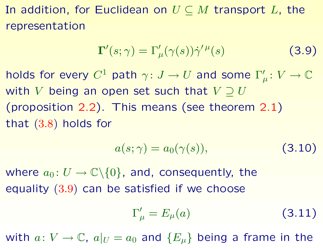In addition, for Euclidean on *U* ⊆ *M* transport *L*, the representation

<span id="page-30-1"></span>
$$
\Gamma'(s; \gamma) = \Gamma'_{\mu}(\gamma(s))\dot{\gamma}'^{\mu}(s)
$$
 (3.9)

holds for every  $C^1$  path  $\gamma: J \to U$  and some  $\Gamma'_\mu: V \to \mathbb{C}$ with *V* being an open set such that  $V \supset U$ (proposition [2.2](#page-21-1)). This means (see theorem [2.1](#page-20-0)) that ([3.8](#page-29-0)) holds for

$$
a(s;\gamma) = a_0(\gamma(s)),\tag{3.10}
$$

where  $a_0: U \to \mathbb{C} \backslash \{0\}$ , and, consequently, the equality ([3.9](#page-30-0)) can be satisfied if we choose

<span id="page-30-0"></span>
$$
\Gamma'_{\mu} = E_{\mu}(a) \tag{3.11}
$$

with  $a: V \to \mathbb{C}$ ,  $a|_U = a_0$  and  $\{E_\mu\}$  being a frame in the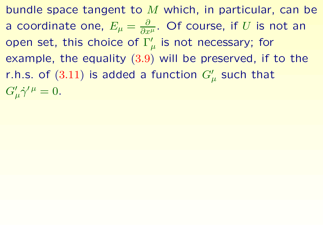bundle space tangent to *M* which, in particular, can be a coordinate one,  $E_{\mu} = \frac{\partial}{\partial x^{\mu}}$ . Of course, if *U* is not an open set, this choice of Γ'<sub>μ</sub> is not necessary; for example, the equality ([3.9](#page-30-0)) will be preserved, if to the r.h.s. of  $(3.11)$  $(3.11)$  $(3.11)$  is added a function  $G'_{\mu}$  such that  $G'_{\mu}\dot{\gamma}'^{\mu} = 0.$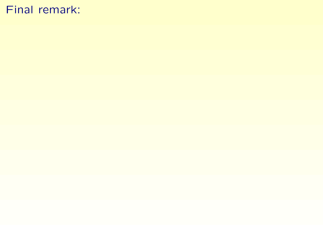#### Final remark: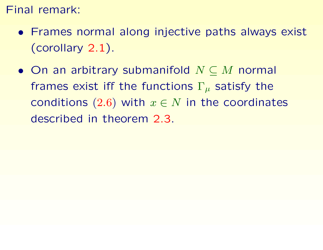#### Final remark:

- Frames normal along injective paths always exist (corollary [2.1](#page-20-1)).
- On an arbitrary submanifold *N* ⊆ *M* normal frames exist iff the functions <sup>Γ</sup>*<sup>µ</sup>* satisfy the conditions  $(2.6)$  $(2.6)$  $(2.6)$  with  $x \in N$  in the coordinates described in theorem [2.3](#page-24-0).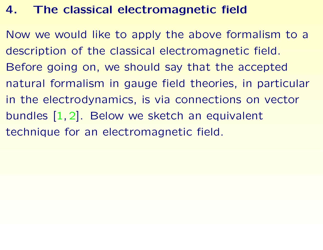## **4. The classical electromagnetic field**

<span id="page-34-0"></span>Now we would like to apply the above formalism to <sup>a</sup> description of the classical electromagnetic field. Before going on, we should say that the accepted natural formalism in gauge field theories, in particular in the electrodynamics, is via connections on vector bundles [[1](#page-54-1), [2\]](#page-54-0). Below we sketch an equivalent technique for an electromagnetic field.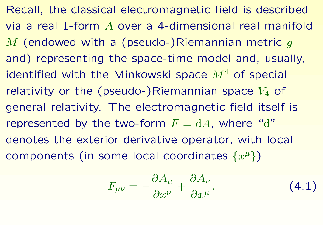Recall, the classical electromagnetic field is described via a real 1-form *A* over a 4-dimensional real manifold *M* (endowed with <sup>a</sup> (pseudo-)Riemannian metric *<sup>g</sup>* and) representing the space-time model and, usually, identified with the Minkowski space *<sup>M</sup>*<sup>4</sup> of special relativity or the (pseudo-)Riemannian space  $V_4$  of general relativity. The electromagnetic field itself is represented by the two-form  $F = dA$ , where "d" denotes the exterior derivative operator, with local components (in some local coordinates {*x<sup>µ</sup>*})

<span id="page-35-0"></span>
$$
F_{\mu\nu} = -\frac{\partial A_{\mu}}{\partial x^{\nu}} + \frac{\partial A_{\nu}}{\partial x^{\mu}}.
$$
 (4.1)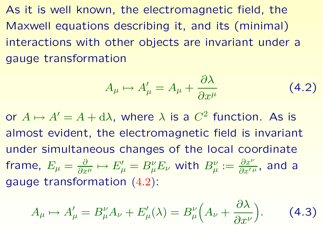As it is well known, the electromagnetic field, the Maxwell equations describing it, and its (minimal) interactions with other objects are invariant under <sup>a</sup> gauge transformation

<span id="page-36-1"></span><span id="page-36-0"></span>
$$
A_{\mu} \mapsto A'_{\mu} = A_{\mu} + \frac{\partial \lambda}{\partial x^{\mu}}
$$
 (4.2)

or  $A \mapsto A' = A + d\lambda$ , where  $\lambda$  is a  $C^2$  function. As is almost evident, the electromagnetic field is invariant under simultaneous changes of the local coordinate frame,  $E_{\mu} = \frac{\partial}{\partial x^{\mu}} \mapsto E'_{\mu} = B_{\mu}^{\nu} E_{\nu}$  with  $B_{\mu}^{\nu} := \frac{\partial x^{\nu}}{\partial x'^{\mu}}$ , and a gauge transformation ([4.2](#page-36-0)):

$$
A_{\mu} \mapsto A'_{\mu} = B_{\mu}^{\nu} A_{\nu} + E'_{\mu}(\lambda) = B_{\mu}^{\nu} \left( A_{\nu} + \frac{\partial \lambda}{\partial x^{\nu}} \right). \tag{4.3}
$$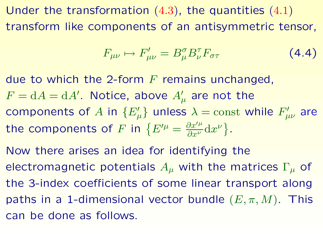Under the transformation  $(4.3)$  $(4.3)$  $(4.3)$ , the quantities  $(4.1)$  $(4.1)$  $(4.1)$ transform like components of an antisymmetric tensor,

$$
F_{\mu\nu} \mapsto F'_{\mu\nu} = B^{\sigma}_{\mu} B^{\tau}_{\nu} F_{\sigma\tau} \tag{4.4}
$$

due to which the 2-form *F* remains unchanged,  $F = dA = dA'$ . Notice, above  $A'_\mu$  are not the components of *A* in  ${E'_\mu}$  unless  $\lambda =$  const while  $F'_{\mu\nu}$  are the components of *F* in  ${E^{\prime \mu}} = \frac{\partial x^{\prime \mu}}{\partial x^{\nu}} dx^{\nu}$ .

Now there arises an idea for identifying the electromagnetic potentials *Aµ* with the matrices <sup>Γ</sup>*<sup>µ</sup>* of the 3-index coefficients of some linear transport along paths in a 1-dimensional vector bundle  $(E, \pi, M)$ . This can be done as follows.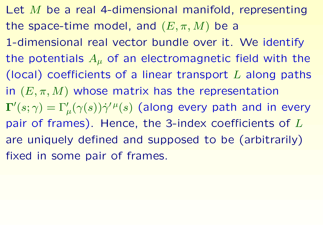Let *M* be <sup>a</sup> real 4-dimensional manifold, representing the space-time model, and  $(E, \pi, M)$  be a 1-dimensional real vector bundle over it. We identify the potentials  $A_\mu$  of an electromagnetic field with the (local) coefficients of <sup>a</sup> linear transport *L* along paths in  $(E, \pi, M)$  whose matrix has the representation  $\Gamma'(s; \gamma) = \Gamma'_{\mu}(\gamma(s))\dot{\gamma}'^{\mu}(s)$  (along every path and in every pair of frames). Hence, the 3-index coefficients of *L* are uniquely defined and supposed to be (arbitrarily) fixed in some pair of frames.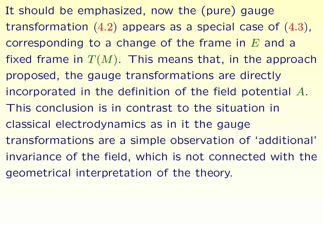It should be emphasized, now the (pure) gauge transformation ([4.2](#page-36-0)) appears as <sup>a</sup> special case of ([4.3](#page-36-1)), corresponding to <sup>a</sup> change of the frame in *E* and <sup>a</sup> fixed frame in  $T(M)$ . This means that, in the approach proposed, the gauge transformations are directly incorporated in the definition of the field potential *A*. This conclusion is in contrast to the situation in classical electrodynamics as in it the gauge transformations are <sup>a</sup> simple observation of 'additional' invariance of the field, which is not connected with the geometrical interpretation of the theory.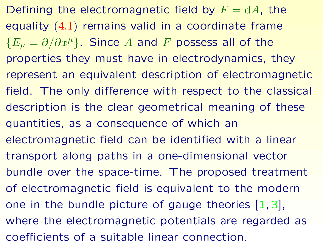Defining the electromagnetic field by  $F = dA$ , the equality ([4.1](#page-35-0)) remains valid in <sup>a</sup> coordinate frame  ${E_{\mu} = \partial/\partial x^{\mu}}$ . Since *A* and *F* possess all of the properties they must have in electrodynamics, they represent an equivalent description of electromagnetic field. The only difference with respect to the classical description is the clear geometrical meaning of these quantities, as <sup>a</sup> consequence of which an electromagnetic field can be identified with <sup>a</sup> linear transport along paths in <sup>a</sup> one-dimensional vector bundle over the space-time. The proposed treatment of electromagnetic field is equivalent to the modern one in the bundle picture of gauge theories [\[1](#page-54-1), [3\]](#page-54-2), where the electromagnetic potentials are regarded as coefficients of a suitable linear connection.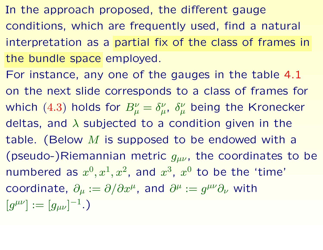- In the approach proposed, the different gauge conditions, which are frequently used, find <sup>a</sup> natural interpretation as <sup>a</sup> partial fix of the class of frames in the bundle space employed.
- For instance, any one of the gauges in the table [4.1](#page-42-0) on the next slide corresponds to <sup>a</sup> class of frames for which ([4.3](#page-36-1)) holds for  $B^{\nu}_{\mu} = \delta^{\nu}_{\mu}$ ,  $\delta^{\nu}_{\mu}$  being the Kronecker deltas, and *λ* subjected to <sup>a</sup> condition given in the table. (Below *M* is supposed to be endowed with <sup>a</sup> (pseudo-)Riemannian metric  $g_{\mu\nu}$ , the coordinates to be numbered as  $x^0, x^1, x^2$ , and  $x^3$ ,  $x^0$  to be the 'time' coordinate,  $\partial_{\mu} := \partial/\partial x^{\mu}$ , and  $\partial^{\mu} := g^{\mu\nu}\partial_{\nu}$  with  $[g^{\mu\nu}] := [g_{\mu\nu}]^{-1}.$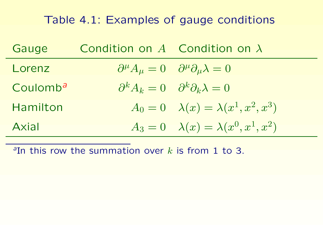# Table 4.1: Examples of gauge conditions

| Gauge                | Condition on $A$ Condition on $\lambda$ |                                                                              |
|----------------------|-----------------------------------------|------------------------------------------------------------------------------|
| Lorenz               |                                         | $\partial^{\mu} A_{\mu} = 0 \quad \partial^{\mu} \partial_{\mu} \lambda = 0$ |
| Coulomb <sup>a</sup> |                                         | $\partial^k A_k = 0 \quad \partial^k \partial_k \lambda = 0$                 |
| Hamilton             |                                         | $A_0 = 0 \quad \lambda(x) = \lambda(x^1, x^2, x^3)$                          |
| Axial                |                                         | $A_3 = 0$ $\lambda(x) = \lambda(x^0, x^1, x^2)$                              |

<span id="page-42-0"></span>*<sup>a</sup>*In this row the summation over *k* is from 1 to 3.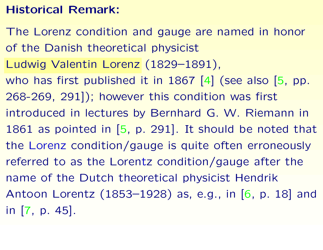## **Historical Remark:**

The Lorenz condition and gauge are named in honor of the Danish theoretical physicist Ludwig Valentin Lorenz (1829–1891), who has first published it in 1867 [\[4\]](#page-55-1) (see also [\[5](#page-55-0), pp. 268-269, 291]); however this condition was first introduced in lectures by Bernhard G. W. Riemann in 1861 as pointed in [\[5](#page-55-0), p. 291]. It should be noted that the Lorenz condition/gauge is quite often erroneously referred to as the Lorentz condition/gauge after the name of the Dutch theoretical physicist Hendrik Antoon Lorentz (1853–1928) as, e.g., in [\[6](#page-56-1), p. 18] and in [[7](#page-56-0), p. 45].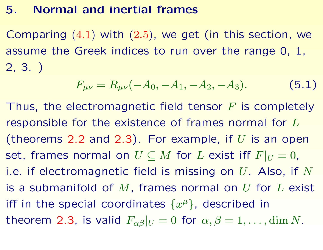## **5. Normal and inertial frames**

Comparing ([4.1](#page-35-0)) with ([2.5](#page-23-1)), we get (in this section, we assume the Greek indices to run over the range 0, 1, 2, 3. )

<span id="page-44-1"></span>
$$
F_{\mu\nu} = R_{\mu\nu}(-A_0, -A_1, -A_2, -A_3). \tag{5.1}
$$

<span id="page-44-0"></span>Thus, the electromagnetic field tensor *F* is completely responsible for the existence of frames normal for *L* (theorems [2.2](#page-23-0) and [2.3](#page-24-0)). For example, if *U* is an open set, frames normal on  $U \subseteq M$  for  $L$  exist iff  $F|_U = 0$ , i.e. if electromagnetic field is missing on *U*. Also, if *N* is <sup>a</sup> submanifold of *M*, frames normal on *U* for *L* exist iff in the special coordinates  $\{x^{\mu}\}\$ , described in theorem [2.3](#page-24-0), is valid  $F_{\alpha\beta}|_U=0$  for  $\alpha, \beta=1,\ldots,\dim N$ .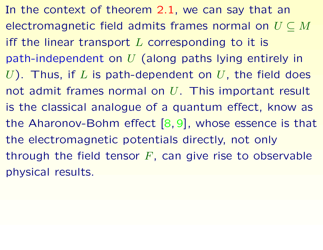In the context of theorem [2.1](#page-20-0), we can say that an electromagnetic field admits frames normal on *U* ⊆ *M* iff the linear transport *L* corresponding to it is path-independent on *U* (along paths lying entirely in *U*). Thus, if *L* is path-dependent on *U*, the field does not admit frames normal on *U*. This important result is the classical analogue of <sup>a</sup> quantum effect, know as the Aharonov-Bohm effect [[8](#page-56-3),[9\]](#page-56-2), whose essence is that the electromagnetic potentials directly, not only through the field tensor *F*, can give rise to observable physical results.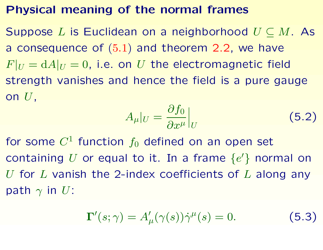#### **Physical meaning of the normal frames**

Suppose *L* is Euclidean on <sup>a</sup> neighborhood *U* ⊆ *M*. As a consequence of  $(5.1)$  $(5.1)$  $(5.1)$  and theorem [2.2](#page-23-0), we have  $F|_U = dA|_U = 0$ , i.e. on *U* the electromagnetic field strength vanishes and hence the field is <sup>a</sup> pure gauge on *U*,

$$
A_{\mu}|_{U} = \frac{\partial f_0}{\partial x^{\mu}}\Big|_{U} \tag{5.2}
$$

for some  $C^1$  function  $f_0$  defined on an open set containing U or equal to it. In a frame  $\{e'\}$  normal on *U* for *L* vanish the 2-index coefficients of *L* along any path  $\gamma$  in *U*:

$$
\Gamma'(s; \gamma) = A'_{\mu}(\gamma(s))\dot{\gamma}^{\mu}(s) = 0.
$$
 (5.3)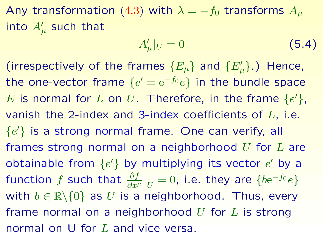Any transformation ([4.3](#page-36-1)) with  $\lambda = -f_0$  transforms  $A_\mu$ into  $A'_\mu$  such that

<span id="page-47-0"></span>
$$
A'_{\mu}|_U = 0 \tag{5.4}
$$

(irrespectively of the frames  ${E_\mu}$  and  ${E'_\mu}$ .) Hence, the one-vector frame  ${e' = e^{-f_0}e}$  in the bundle space *E* is normal for *L* on *U*. Therefore, in the frame  $\{e\}$ , vanish the 2-index and 3-index coefficients of *L*, i.e.  ${e' }$  is a strong normal frame. One can verify, all frames strong normal on <sup>a</sup> neighborhood *U* for *L* are obtainable from  $\{e'\}$  by multiplying its vector  $e'$  by a function *f* such that  $\frac{\partial f}{\partial x^{\mu}}|_{U} = 0$ , i.e. they are  $\{be^{-f_0}e\}$ with  $b \in \mathbb{R} \backslash \{0\}$  as *U* is a neighborhood. Thus, every frame normal on <sup>a</sup> neighborhood *U* for *L* is strong normal on U for *L* and vice versa.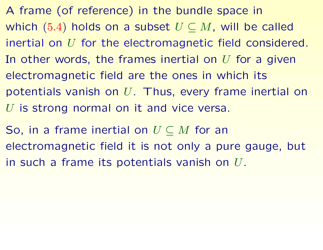A frame (of reference) in the bundle space in which ([5.4](#page-47-0)) holds on a subset  $U \subseteq M$ , will be called inertial on *U* for the electromagnetic field considered. In other words, the frames inertial on *U* for <sup>a</sup> given electromagnetic field are the ones in which its potentials vanish on *U*. Thus, every frame inertial on *U* is strong normal on it and vice versa.

So, in <sup>a</sup> frame inertial on *U* ⊆ *M* for an electromagnetic field it is not only <sup>a</sup> pure gauge, but in such <sup>a</sup> frame its potentials vanish on *U*.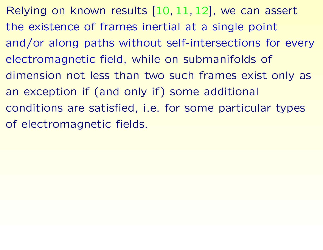Relying on known results [\[10](#page-57-1), [11](#page-57-0), [12](#page-58-0)], we can assert the existence of frames inertial at <sup>a</sup> single point and/or along paths without self-intersections for every electromagnetic field, while on submanifolds of dimension not less than two such frames exist only as an exception if (and only if) some additional conditions are satisfied, i.e. for some particular types of electromagnetic fields.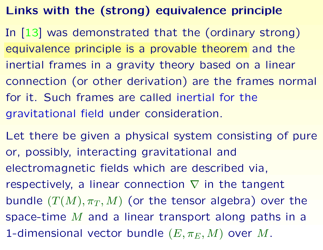# **Links with the (strong) equivalence principle**

- In [[13\]](#page-58-1) was demonstrated that the (ordinary strong) equivalence principle is <sup>a</sup> provable theorem and the inertial frames in <sup>a</sup> gravity theory based on <sup>a</sup> linear connection (or other derivation) are the frames normal for it. Such frames are called inertial for the gravitational field under consideration.
- Let there be given <sup>a</sup> physical system consisting of pure or, possibly, interacting gravitational and electromagnetic fields which are described via, respectively, a linear connection  $\nabla$  in the tangent bundle  $(T(M), \pi_T, M)$  (or the tensor algebra) over the space-time *M* and <sup>a</sup> linear transport along paths in <sup>a</sup> 1-dimensional vector bundle  $(E, \pi_E, M)$  over M.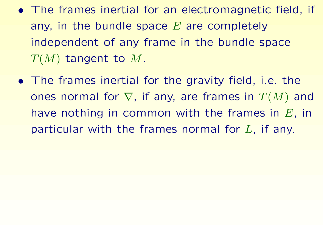- The frames inertial for an electromagnetic field, if any, in the bundle space *E* are completely independent of any frame in the bundle space *<sup>T</sup>*(*M*) tangent to *<sup>M</sup>*.
- The frames inertial for the gravity field, i.e. the ones normal for ∇, if any, are frames in *<sup>T</sup>*(*M*) and have nothing in common with the frames in *E*, in particular with the frames normal for *L*, if any.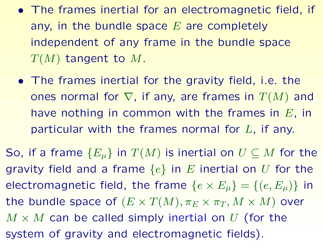- The frames inertial for an electromagnetic field, if any, in the bundle space *E* are completely independent of any frame in the bundle space *<sup>T</sup>*(*M*) tangent to *<sup>M</sup>*.
- The frames inertial for the gravity field, i.e. the ones normal for ∇, if any, are frames in *<sup>T</sup>*(*M*) and have nothing in common with the frames in *E*, in particular with the frames normal for *L*, if any.

So, if a frame  ${E_\mu}$  in  $T(M)$  is inertial on  $U \subseteq M$  for the gravity field and <sup>a</sup> frame {*e*} in *<sup>E</sup>* inertial on *U* for the electromagnetic field, the frame  $\{e \times E_\mu\} = \{(e, E_\mu)\}\$ in the bundle space of  $(E \times T(M), \pi_E \times \pi_T, M \times M)$  over  $M \times M$  can be called simply inertial on U (for the system of gravity and electromagnetic fields).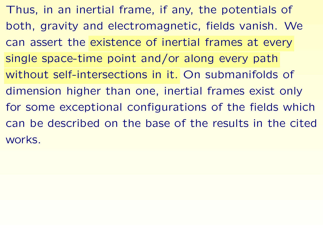Thus, in an inertial frame, if any, the potentials of both, gravity and electromagnetic, fields vanish. We can assert the existence of inertial frames at every single space-time point and/or along every path without self-intersections in it. On submanifolds of dimension higher than one, inertial frames exist only for some exceptional configurations of the fields which can be described on the base of the results in the cited works.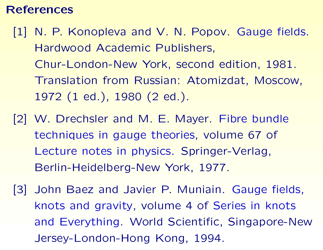#### **References**

- [1] N. P. Konopleva and V. N. Popov. Gauge fields. Hardwood Academic Publishers, Chur-London-New York, second edition, 1981. Translation from Russian: Atomizdat, Moscow, 1972 (1 ed.), 1980 (2 ed.).
- [2] W. Drechsler and M. E. Mayer. Fibre bundle techniques in gauge theories, volume 67 of Lecture notes in physics. Springer-Verlag, Berlin-Heidelberg-New York, 1977.
- <span id="page-54-2"></span><span id="page-54-1"></span><span id="page-54-0"></span>[3] John Baez and Javier P. Muniain. Gauge fields, knots and gravity, volume 4 of Series in knots and Everything. World Scientific, Singapore-New Jersey-London-Hong Kong, 1994.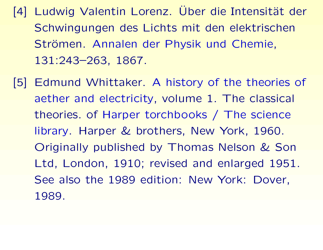- [4] Ludwig Valentin Lorenz. Ü Uber die Intensität der Schwingungen des Lichts mit den elektrischen Strömen. Annalen der Physik und Chemie, 131:243–263, 1867.
- <span id="page-55-1"></span><span id="page-55-0"></span>[5] Edmund Whittaker. A history of the theories of aether and electricity, volume 1. The classical theories. of Harper torchbooks / The science library. Harper & brothers, New York, 1960. Originally published by Thomas Nelson & Son Ltd, London, 1910; revised and enlarged 1951. See also the 1989 edition: New York: Dover, 1989.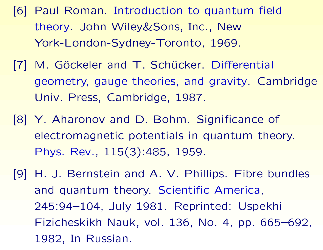- [6] Paul Roman. Introduction to quantum field theory. John Wiley&Sons, Inc., New York-London-Sydney-Toronto, 1969.
- [7] M. Göckeler and T. Schücker. Differential geometry, gauge theories, and gravity. Cambridge Univ. Press, Cambridge, 1987.
- [8] Y. Aharonov and D. Bohm. Significance of electromagnetic potentials in quantum theory. Phys. Rev., 115(3):485, 1959.
- <span id="page-56-3"></span><span id="page-56-2"></span><span id="page-56-1"></span><span id="page-56-0"></span>[9] H. J. Bernstein and A. V. Phillips. Fibre bundles and quantum theory. Scientific America, 245:94–104, July 1981. Reprinted: Uspekhi Fizicheskikh Nauk, vol. 136, No. 4, pp. 665–692, 1982, In Russian.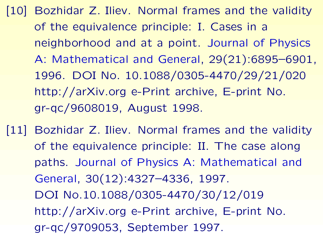- [10] Bozhidar Z. Iliev. Normal frames and the validity of the equivalence principle: I. Cases in <sup>a</sup> neighborhood and at <sup>a</sup> point. Journal of Physics A: Mathematical and General, 29(21):6895–6901, 1996. DOI No. 10.1088/0305-4470/29/21/020 http://arXiv.org e-Print archive, E-print No. gr-qc/9608019, August 1998.
- <span id="page-57-1"></span><span id="page-57-0"></span>[11] Bozhidar Z. Iliev. Normal frames and the validity of the equivalence principle: II. The case along paths. Journal of Physics A: Mathematical and General, 30(12):4327–4336, 1997. DOI No.10.1088/0305-4470/30/12/019 http://arXiv.org e-Print archive, E-print No. gr-qc/9709053, September 1997.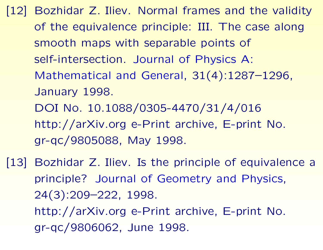- [12] Bozhidar Z. Iliev. Normal frames and the validity of the equivalence principle: III. The case along smooth maps with separable points of self-intersection. Journal of Physics A: Mathematical and General, 31(4):1287–1296, January 1998. DOI No. 10.1088/0305-4470/31/4/016 http://arXiv.org e-Print archive, E-print No. gr-qc/9805088, May 1998.
- <span id="page-58-1"></span><span id="page-58-0"></span>[13] Bozhidar Z. Iliev. Is the principle of equivalence a principle? Journal of Geometry and Physics, 24(3):209–222, 1998. http://arXiv.org e-Print archive, E-print No. gr-qc/9806062, June 1998.